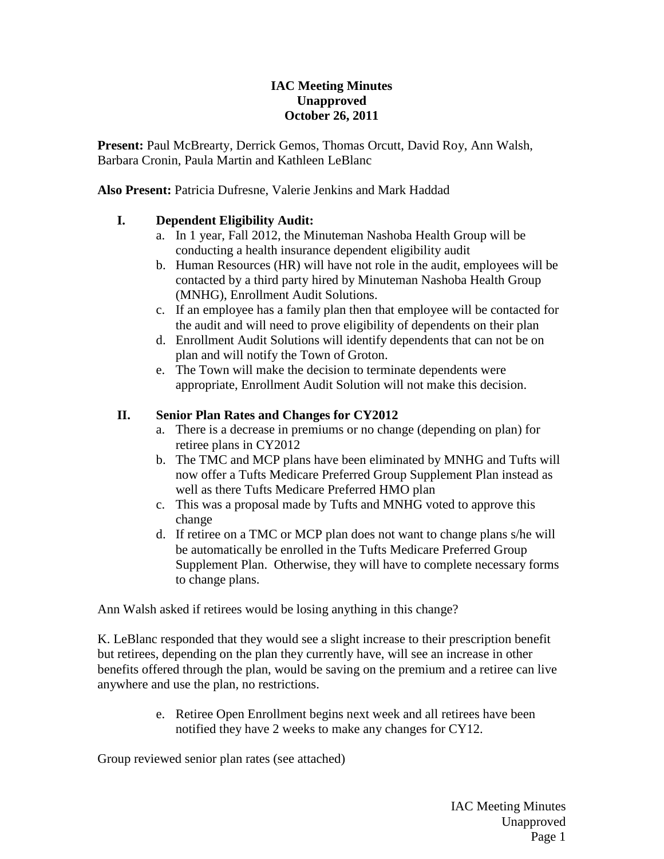### **IAC Meeting Minutes Unapproved October 26, 2011**

**Present:** Paul McBrearty, Derrick Gemos, Thomas Orcutt, David Roy, Ann Walsh, Barbara Cronin, Paula Martin and Kathleen LeBlanc

**Also Present:** Patricia Dufresne, Valerie Jenkins and Mark Haddad

# **I. Dependent Eligibility Audit:**

- a. In 1 year, Fall 2012, the Minuteman Nashoba Health Group will be conducting a health insurance dependent eligibility audit
- b. Human Resources (HR) will have not role in the audit, employees will be contacted by a third party hired by Minuteman Nashoba Health Group (MNHG), Enrollment Audit Solutions.
- c. If an employee has a family plan then that employee will be contacted for the audit and will need to prove eligibility of dependents on their plan
- d. Enrollment Audit Solutions will identify dependents that can not be on plan and will notify the Town of Groton.
- e. The Town will make the decision to terminate dependents were appropriate, Enrollment Audit Solution will not make this decision.

### **II. Senior Plan Rates and Changes for CY2012**

- a. There is a decrease in premiums or no change (depending on plan) for retiree plans in CY2012
- b. The TMC and MCP plans have been eliminated by MNHG and Tufts will now offer a Tufts Medicare Preferred Group Supplement Plan instead as well as there Tufts Medicare Preferred HMO plan
- c. This was a proposal made by Tufts and MNHG voted to approve this change
- d. If retiree on a TMC or MCP plan does not want to change plans s/he will be automatically be enrolled in the Tufts Medicare Preferred Group Supplement Plan. Otherwise, they will have to complete necessary forms to change plans.

Ann Walsh asked if retirees would be losing anything in this change?

K. LeBlanc responded that they would see a slight increase to their prescription benefit but retirees, depending on the plan they currently have, will see an increase in other benefits offered through the plan, would be saving on the premium and a retiree can live anywhere and use the plan, no restrictions.

> e. Retiree Open Enrollment begins next week and all retirees have been notified they have 2 weeks to make any changes for CY12.

Group reviewed senior plan rates (see attached)

IAC Meeting Minutes Unapproved Page 1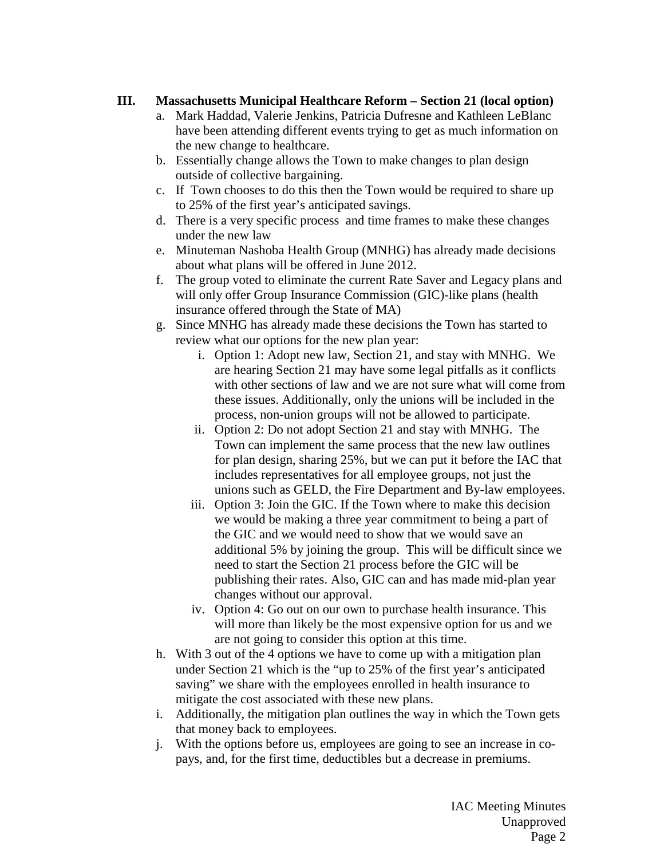# **III. Massachusetts Municipal Healthcare Reform – Section 21 (local option)**

- a. Mark Haddad, Valerie Jenkins, Patricia Dufresne and Kathleen LeBlanc have been attending different events trying to get as much information on the new change to healthcare.
- b. Essentially change allows the Town to make changes to plan design outside of collective bargaining.
- c. If Town chooses to do this then the Town would be required to share up to 25% of the first year's anticipated savings.
- d. There is a very specific process and time frames to make these changes under the new law
- e. Minuteman Nashoba Health Group (MNHG) has already made decisions about what plans will be offered in June 2012.
- f. The group voted to eliminate the current Rate Saver and Legacy plans and will only offer Group Insurance Commission (GIC)-like plans (health insurance offered through the State of MA)
- g. Since MNHG has already made these decisions the Town has started to review what our options for the new plan year:
	- i. Option 1: Adopt new law, Section 21, and stay with MNHG. We are hearing Section 21 may have some legal pitfalls as it conflicts with other sections of law and we are not sure what will come from these issues. Additionally, only the unions will be included in the process, non-union groups will not be allowed to participate.
	- ii. Option 2: Do not adopt Section 21 and stay with MNHG. The Town can implement the same process that the new law outlines for plan design, sharing 25%, but we can put it before the IAC that includes representatives for all employee groups, not just the unions such as GELD, the Fire Department and By-law employees.
	- iii. Option 3: Join the GIC. If the Town where to make this decision we would be making a three year commitment to being a part of the GIC and we would need to show that we would save an additional 5% by joining the group. This will be difficult since we need to start the Section 21 process before the GIC will be publishing their rates. Also, GIC can and has made mid-plan year changes without our approval.
	- iv. Option 4: Go out on our own to purchase health insurance. This will more than likely be the most expensive option for us and we are not going to consider this option at this time.
- h. With 3 out of the 4 options we have to come up with a mitigation plan under Section 21 which is the "up to 25% of the first year's anticipated saving" we share with the employees enrolled in health insurance to mitigate the cost associated with these new plans.
- i. Additionally, the mitigation plan outlines the way in which the Town gets that money back to employees.
- j. With the options before us, employees are going to see an increase in copays, and, for the first time, deductibles but a decrease in premiums.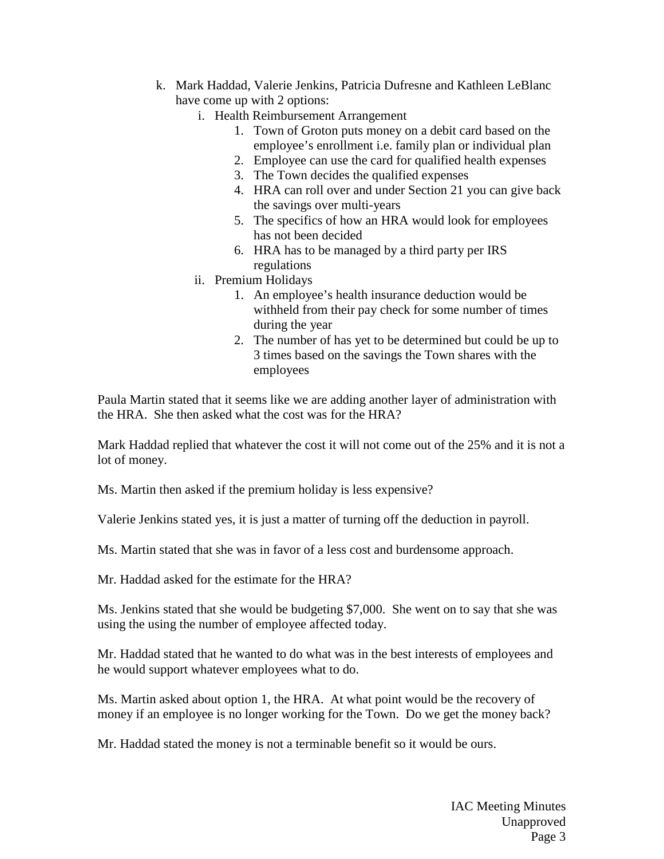- k. Mark Haddad, Valerie Jenkins, Patricia Dufresne and Kathleen LeBlanc have come up with 2 options:
	- i. Health Reimbursement Arrangement
		- 1. Town of Groton puts money on a debit card based on the employee's enrollment i.e. family plan or individual plan
		- 2. Employee can use the card for qualified health expenses
		- 3. The Town decides the qualified expenses
		- 4. HRA can roll over and under Section 21 you can give back the savings over multi-years
		- 5. The specifics of how an HRA would look for employees has not been decided
		- 6. HRA has to be managed by a third party per IRS regulations
	- ii. Premium Holidays
		- 1. An employee's health insurance deduction would be withheld from their pay check for some number of times during the year
		- 2. The number of has yet to be determined but could be up to 3 times based on the savings the Town shares with the employees

Paula Martin stated that it seems like we are adding another layer of administration with the HRA. She then asked what the cost was for the HRA?

Mark Haddad replied that whatever the cost it will not come out of the 25% and it is not a lot of money.

Ms. Martin then asked if the premium holiday is less expensive?

Valerie Jenkins stated yes, it is just a matter of turning off the deduction in payroll.

Ms. Martin stated that she was in favor of a less cost and burdensome approach.

Mr. Haddad asked for the estimate for the HRA?

Ms. Jenkins stated that she would be budgeting \$7,000. She went on to say that she was using the using the number of employee affected today.

Mr. Haddad stated that he wanted to do what was in the best interests of employees and he would support whatever employees what to do.

Ms. Martin asked about option 1, the HRA. At what point would be the recovery of money if an employee is no longer working for the Town. Do we get the money back?

Mr. Haddad stated the money is not a terminable benefit so it would be ours.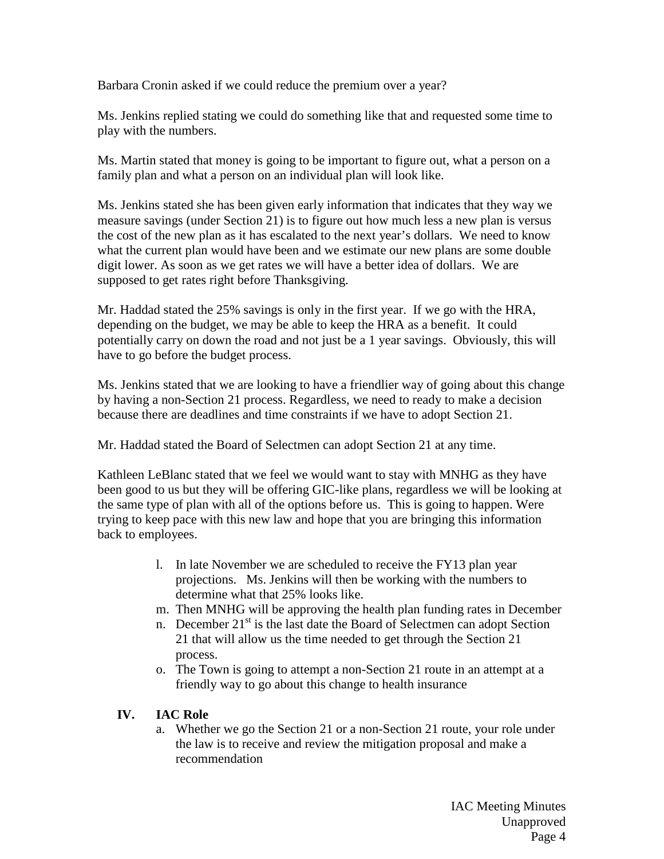Barbara Cronin asked if we could reduce the premium over a year?

Ms. Jenkins replied stating we could do something like that and requested some time to play with the numbers.

Ms. Martin stated that money is going to be important to figure out, what a person on a family plan and what a person on an individual plan will look like.

Ms. Jenkins stated she has been given early information that indicates that they way we measure savings (under Section 21) is to figure out how much less a new plan is versus the cost of the new plan as it has escalated to the next year's dollars. We need to know what the current plan would have been and we estimate our new plans are some double digit lower. As soon as we get rates we will have a better idea of dollars. We are supposed to get rates right before Thanksgiving.

Mr. Haddad stated the 25% savings is only in the first year. If we go with the HRA, depending on the budget, we may be able to keep the HRA as a benefit. It could potentially carry on down the road and not just be a 1 year savings. Obviously, this will have to go before the budget process.

Ms. Jenkins stated that we are looking to have a friendlier way of going about this change by having a non-Section 21 process. Regardless, we need to ready to make a decision because there are deadlines and time constraints if we have to adopt Section 21.

Mr. Haddad stated the Board of Selectmen can adopt Section 21 at any time.

Kathleen LeBlanc stated that we feel we would want to stay with MNHG as they have been good to us but they will be offering GIC-like plans, regardless we will be looking at the same type of plan with all of the options before us. This is going to happen. Were trying to keep pace with this new law and hope that you are bringing this information back to employees.

- l. In late November we are scheduled to receive the FY13 plan year projections. Ms. Jenkins will then be working with the numbers to determine what that 25% looks like.
- m. Then MNHG will be approving the health plan funding rates in December
- n. December  $21<sup>st</sup>$  is the last date the Board of Selectmen can adopt Section 21 that will allow us the time needed to get through the Section 21 process.
- o. The Town is going to attempt a non-Section 21 route in an attempt at a friendly way to go about this change to health insurance

### **IV. IAC Role**

a. Whether we go the Section 21 or a non-Section 21 route, your role under the law is to receive and review the mitigation proposal and make a recommendation